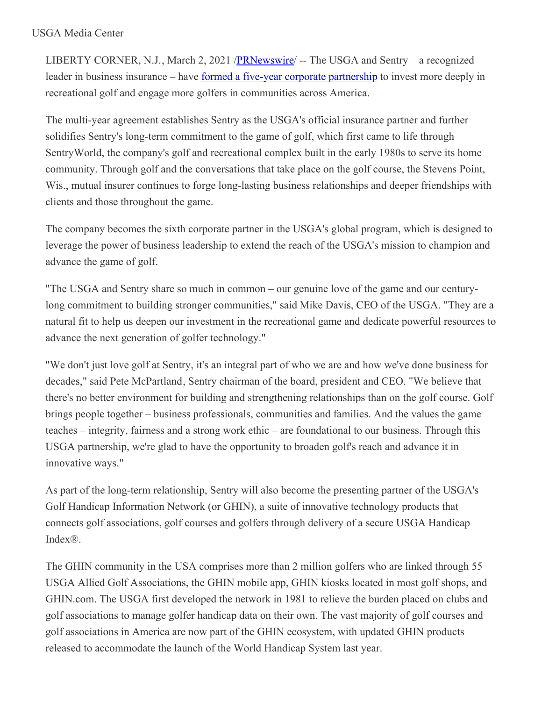LIBERTY CORNER, N.J., March 2, 2021 /**PRNewswire** -- The USGA and Sentry – a recognized leader in business insurance – have formed a five-year corporate [partnership](https://c212.net/c/link/?t=0&l=en&o=3082424-1&h=4039713409&u=https%3A%2F%2Fwww.youtube.com%2Fwatch%3Fv%3DO-Q_pIAuwiI&a=formed+a+five-year+corporate+partnership) to invest more deeply in recreational golf and engage more golfers in communities across America.

The multi-year agreement establishes Sentry as the USGA's official insurance partner and further solidifies Sentry's long-term commitment to the game of golf, which first came to life through SentryWorld, the company's golf and recreational complex built in the early 1980s to serve its home community. Through golf and the conversations that take place on the golf course, the Stevens Point, Wis., mutual insurer continues to forge long-lasting business relationships and deeper friendships with clients and those throughout the game.

The company becomes the sixth corporate partner in the USGA's global program, which is designed to leverage the power of business leadership to extend the reach of the USGA's mission to champion and advance the game of golf.

"The USGA and Sentry share so much in common – our genuine love of the game and our centurylong commitment to building stronger communities," said Mike Davis, CEO of the USGA. "They are a natural fit to help us deepen our investment in the recreational game and dedicate powerful resources to advance the next generation of golfer technology."

"We don't just love golf at Sentry, it's an integral part of who we are and how we've done business for decades," said Pete McPartland, Sentry chairman of the board, president and CEO. "We believe that there's no better environment for building and strengthening relationships than on the golf course. Golf brings people together – business professionals, communities and families. And the values the game teaches – integrity, fairness and a strong work ethic – are foundational to our business. Through this USGA partnership, we're glad to have the opportunity to broaden golf's reach and advance it in innovative ways."

As part of the long-term relationship, Sentry will also become the presenting partner of the USGA's Golf Handicap Information Network (or GHIN), a suite of innovative technology products that connects golf associations, golf courses and golfers through delivery of a secure USGA Handicap Index®.

The GHIN community in the USA comprises more than 2 million golfers who are linked through 55 USGA Allied Golf Associations, the GHIN mobile app, GHIN kiosks located in most golf shops, and GHIN.com. The USGA first developed the network in 1981 to relieve the burden placed on clubs and golf associations to manage golfer handicap data on their own. The vast majority of golf courses and golf associations in America are now part of the GHIN ecosystem, with updated GHIN products released to accommodate the launch of the World Handicap System last year.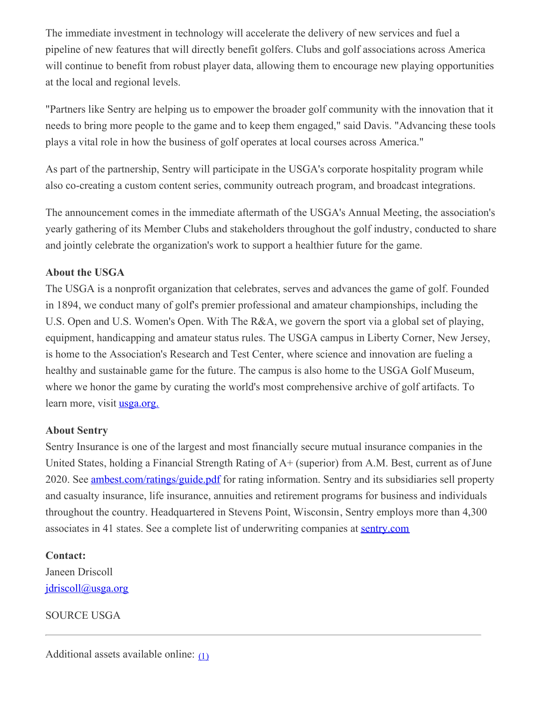The immediate investment in technology will accelerate the delivery of new services and fuel a pipeline of new features that will directly benefit golfers. Clubs and golf associations across America will continue to benefit from robust player data, allowing them to encourage new playing opportunities at the local and regional levels.

"Partners like Sentry are helping us to empower the broader golf community with the innovation that it needs to bring more people to the game and to keep them engaged," said Davis. "Advancing these tools plays a vital role in how the business of golf operates at local courses across America."

As part of the partnership, Sentry will participate in the USGA's corporate hospitality program while also co-creating a custom content series, community outreach program, and broadcast integrations.

The announcement comes in the immediate aftermath of the USGA's Annual Meeting, the association's yearly gathering of its Member Clubs and stakeholders throughout the golf industry, conducted to share and jointly celebrate the organization's work to support a healthier future for the game.

## **About the USGA**

The USGA is a nonprofit organization that celebrates, serves and advances the game of golf. Founded in 1894, we conduct many of golf's premier professional and amateur championships, including the U.S. Open and U.S. Women's Open. With The R&A, we govern the sport via a global set of playing, equipment, handicapping and amateur status rules. The USGA campus in Liberty Corner, New Jersey, is home to the Association's Research and Test Center, where science and innovation are fueling a healthy and sustainable game for the future. The campus is also home to the USGA Golf Museum, where we honor the game by curating the world's most comprehensive archive of golf artifacts. To learn more, visit <u>[usga.org.](https://c212.net/c/link/?t=0&l=en&o=3082424-1&h=2936338846&u=https%3A%2F%2Fnam05.safelinks.protection.outlook.com%2F%3Furl%3Dhttp%253A%252F%252Fwww.usga.org%252F%26data%3D02%257C01%257CRDriscoll%2540USGA.org%257Cb2238a0207fe4e225f6208d792c1ce2a%257C17abf7083a064391bdbd06808d1b9f81%257C0%257C0%257C637139233401815562%26sdata%3DbjNUv%252B0CVFwI4VUAvBMooctUq7ulMbwGpCH7OM8NugU%253D%26reserved%3D0&a=usga.org.)</u>

## **About Sentry**

Sentry Insurance is one of the largest and most financially secure mutual insurance companies in the United States, holding a Financial Strength Rating of A+ (superior) from A.M. Best, current as of June 2020. See [ambest.com/ratings/guide.pdf](https://c212.net/c/link/?t=0&l=en&o=3082424-1&h=363459096&u=http%3A%2F%2Fwww.ambest.com%2Fratings%2Fguide.pdf&a=ambest.com%2Fratings%2Fguide.pdf) for rating information. Sentry and its subsidiaries sell property and casualty insurance, life insurance, annuities and retirement programs for business and individuals throughout the country. Headquartered in Stevens Point, Wisconsin, Sentry employs more than 4,300 associates in 41 states. See a complete list of underwriting companies at [sentry.com](https://c212.net/c/link/?t=0&l=en&o=3082424-1&h=1112371516&u=https%3A%2F%2Fwww.sentry.com%2F&a=sentry.com)

## **Contact:**

Janeen Driscoll [jdriscoll@usga.org](mailto:jdriscoll@usga.org)

SOURCE USGA